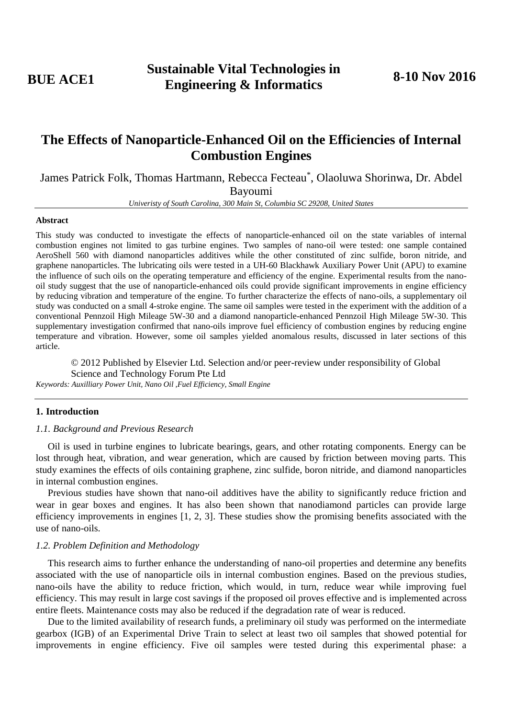# **The Effects of Nanoparticle-Enhanced Oil on the Efficiencies of Internal Combustion Engines**

James Patrick Folk, Thomas Hartmann, Rebecca Fecteau\* , Olaoluwa Shorinwa, Dr. Abdel Bayoumi

*Univeristy of South Carolina, 300 Main St, Columbia SC 29208, United States*

## **Abstract**

This study was conducted to investigate the effects of nanoparticle-enhanced oil on the state variables of internal combustion engines not limited to gas turbine engines. Two samples of nano-oil were tested: one sample contained AeroShell 560 with diamond nanoparticles additives while the other constituted of zinc sulfide, boron nitride, and graphene nanoparticles. The lubricating oils were tested in a UH-60 Blackhawk Auxiliary Power Unit (APU) to examine the influence of such oils on the operating temperature and efficiency of the engine. Experimental results from the nanooil study suggest that the use of nanoparticle-enhanced oils could provide significant improvements in engine efficiency by reducing vibration and temperature of the engine. To further characterize the effects of nano-oils, a supplementary oil study was conducted on a small 4-stroke engine. The same oil samples were tested in the experiment with the addition of a conventional Pennzoil High Mileage 5W-30 and a diamond nanoparticle-enhanced Pennzoil High Mileage 5W-30. This supplementary investigation confirmed that nano-oils improve fuel efficiency of combustion engines by reducing engine temperature and vibration. However, some oil samples yielded anomalous results, discussed in later sections of this article.

© 2012 Published by Elsevier Ltd. Selection and/or peer-review under responsibility of Global Science and Technology Forum Pte Ltd

*Keywords: Auxilliary Power Unit, Nano Oil ,Fuel Efficiency, Small Engine*

# **1. Introduction**

#### *1.1. Background and Previous Research*

Oil is used in turbine engines to lubricate bearings, gears, and other rotating components. Energy can be lost through heat, vibration, and wear generation, which are caused by friction between moving parts. This study examines the effects of oils containing graphene, zinc sulfide, boron nitride, and diamond nanoparticles in internal combustion engines.

Previous studies have shown that nano-oil additives have the ability to significantly reduce friction and wear in gear boxes and engines. It has also been shown that nanodiamond particles can provide large efficiency improvements in engines [1, 2, 3]. These studies show the promising benefits associated with the use of nano-oils.

# *1.2. Problem Definition and Methodology*

This research aims to further enhance the understanding of nano-oil properties and determine any benefits associated with the use of nanoparticle oils in internal combustion engines. Based on the previous studies, nano-oils have the ability to reduce friction, which would, in turn, reduce wear while improving fuel efficiency. This may result in large cost savings if the proposed oil proves effective and is implemented across entire fleets. Maintenance costs may also be reduced if the degradation rate of wear is reduced.

Due to the limited availability of research funds, a preliminary oil study was performed on the intermediate gearbox (IGB) of an Experimental Drive Train to select at least two oil samples that showed potential for improvements in engine efficiency. Five oil samples were tested during this experimental phase: a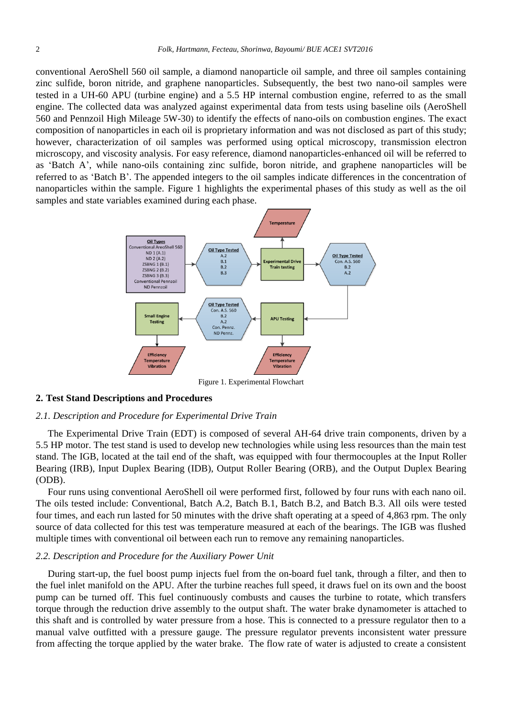conventional AeroShell 560 oil sample, a diamond nanoparticle oil sample, and three oil samples containing zinc sulfide, boron nitride, and graphene nanoparticles. Subsequently, the best two nano-oil samples were tested in a UH-60 APU (turbine engine) and a 5.5 HP internal combustion engine, referred to as the small engine. The collected data was analyzed against experimental data from tests using baseline oils (AeroShell 560 and Pennzoil High Mileage 5W-30) to identify the effects of nano-oils on combustion engines. The exact composition of nanoparticles in each oil is proprietary information and was not disclosed as part of this study; however, characterization of oil samples was performed using optical microscopy, transmission electron microscopy, and viscosity analysis. For easy reference, diamond nanoparticles-enhanced oil will be referred to as 'Batch A', while nano-oils containing zinc sulfide, boron nitride, and graphene nanoparticles will be referred to as 'Batch B'. The appended integers to the oil samples indicate differences in the concentration of nanoparticles within the sample. Figure 1 highlights the experimental phases of this study as well as the oil samples and state variables examined during each phase.



#### **2. Test Stand Descriptions and Procedures**

#### *2.1. Description and Procedure for Experimental Drive Train*

The Experimental Drive Train (EDT) is composed of several AH-64 drive train components, driven by a 5.5 HP motor. The test stand is used to develop new technologies while using less resources than the main test stand. The IGB, located at the tail end of the shaft, was equipped with four thermocouples at the Input Roller Bearing (IRB), Input Duplex Bearing (IDB), Output Roller Bearing (ORB), and the Output Duplex Bearing (ODB).

Four runs using conventional AeroShell oil were performed first, followed by four runs with each nano oil. The oils tested include: Conventional, Batch A.2, Batch B.1, Batch B.2, and Batch B.3. All oils were tested four times, and each run lasted for 50 minutes with the drive shaft operating at a speed of 4,863 rpm. The only source of data collected for this test was temperature measured at each of the bearings. The IGB was flushed multiple times with conventional oil between each run to remove any remaining nanoparticles.

## *2.2. Description and Procedure for the Auxiliary Power Unit*

During start-up, the fuel boost pump injects fuel from the on-board fuel tank, through a filter, and then to the fuel inlet manifold on the APU. After the turbine reaches full speed, it draws fuel on its own and the boost pump can be turned off. This fuel continuously combusts and causes the turbine to rotate, which transfers torque through the reduction drive assembly to the output shaft. The water brake dynamometer is attached to this shaft and is controlled by water pressure from a hose. This is connected to a pressure regulator then to a manual valve outfitted with a pressure gauge. The pressure regulator prevents inconsistent water pressure from affecting the torque applied by the water brake. The flow rate of water is adjusted to create a consistent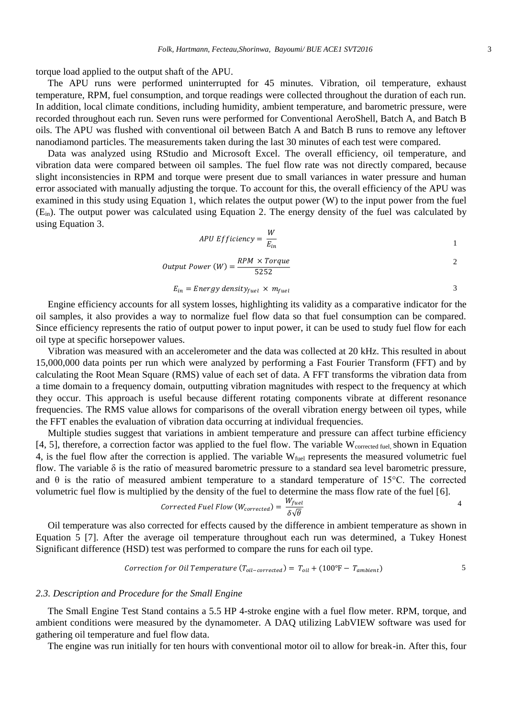torque load applied to the output shaft of the APU.

The APU runs were performed uninterrupted for 45 minutes. Vibration, oil temperature, exhaust temperature, RPM, fuel consumption, and torque readings were collected throughout the duration of each run. In addition, local climate conditions, including humidity, ambient temperature, and barometric pressure, were recorded throughout each run. Seven runs were performed for Conventional AeroShell, Batch A, and Batch B oils. The APU was flushed with conventional oil between Batch A and Batch B runs to remove any leftover nanodiamond particles. The measurements taken during the last 30 minutes of each test were compared.

Data was analyzed using RStudio and Microsoft Excel. The overall efficiency, oil temperature, and vibration data were compared between oil samples. The fuel flow rate was not directly compared, because slight inconsistencies in RPM and torque were present due to small variances in water pressure and human error associated with manually adjusting the torque. To account for this, the overall efficiency of the APU was examined in this study using Equation 1, which relates the output power (W) to the input power from the fuel (Ein). The output power was calculated using Equation 2. The energy density of the fuel was calculated by using Equation 3.

$$
APU \, Efficiency = \frac{W}{E_{in}} \tag{1}
$$

Output Power (W) = 
$$
\frac{RPM \times Torque}{5252}
$$
 2

$$
E_{in} = Energy density_{fuel} \times m_{fuel}
$$
 3

Engine efficiency accounts for all system losses, highlighting its validity as a comparative indicator for the oil samples, it also provides a way to normalize fuel flow data so that fuel consumption can be compared. Since efficiency represents the ratio of output power to input power, it can be used to study fuel flow for each oil type at specific horsepower values.

Vibration was measured with an accelerometer and the data was collected at 20 kHz. This resulted in about 15,000,000 data points per run which were analyzed by performing a Fast Fourier Transform (FFT) and by calculating the Root Mean Square (RMS) value of each set of data. A FFT transforms the vibration data from a time domain to a frequency domain, outputting vibration magnitudes with respect to the frequency at which they occur. This approach is useful because different rotating components vibrate at different resonance frequencies. The RMS value allows for comparisons of the overall vibration energy between oil types, while the FFT enables the evaluation of vibration data occurring at individual frequencies.

Multiple studies suggest that variations in ambient temperature and pressure can affect turbine efficiency [4, 5], therefore, a correction factor was applied to the fuel flow. The variable W<sub>corrected fuel</sub>, shown in Equation 4, is the fuel flow after the correction is applied. The variable  $W_{fuel}$  represents the measured volumetric fuel flow. The variable δ is the ratio of measured barometric pressure to a standard sea level barometric pressure, and  $\theta$  is the ratio of measured ambient temperature to a standard temperature of 15°C. The corrected volumetric fuel flow is multiplied by the density of the fuel to determine the mass flow rate of the fuel [6].

$$
Corrected \t{Full Flow (W_{corrected})} = \frac{W_{fuel}}{\delta\sqrt{\theta}}
$$

Oil temperature was also corrected for effects caused by the difference in ambient temperature as shown in Equation 5 [7]. After the average oil temperature throughout each run was determined, a Tukey Honest Significant difference (HSD) test was performed to compare the runs for each oil type.

$$
Correction for Oil Temperature (T_{oil-corrected}) = T_{oil} + (100°F - T_{ambient})
$$

#### *2.3. Description and Procedure for the Small Engine*

The Small Engine Test Stand contains a 5.5 HP 4-stroke engine with a fuel flow meter. RPM, torque, and ambient conditions were measured by the dynamometer. A DAQ utilizing LabVIEW software was used for gathering oil temperature and fuel flow data.

The engine was run initially for ten hours with conventional motor oil to allow for break-in. After this, four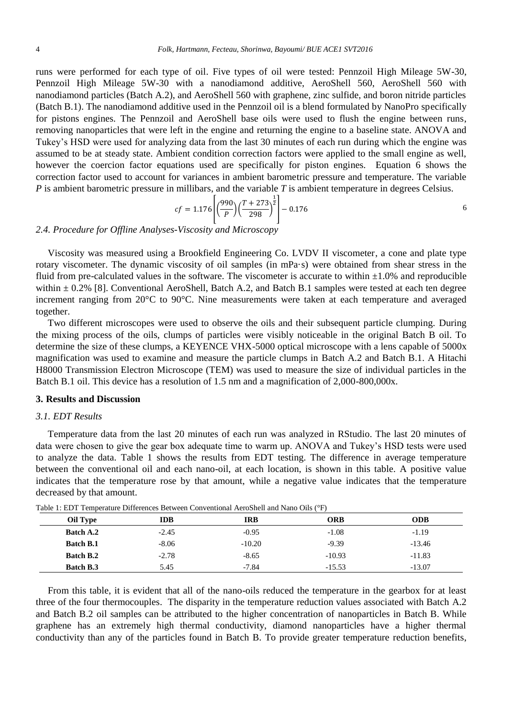runs were performed for each type of oil. Five types of oil were tested: Pennzoil High Mileage 5W-30, Pennzoil High Mileage 5W-30 with a nanodiamond additive, AeroShell 560, AeroShell 560 with nanodiamond particles (Batch A.2), and AeroShell 560 with graphene, zinc sulfide, and boron nitride particles (Batch B.1). The nanodiamond additive used in the Pennzoil oil is a blend formulated by NanoPro specifically for pistons engines. The Pennzoil and AeroShell base oils were used to flush the engine between runs, removing nanoparticles that were left in the engine and returning the engine to a baseline state. ANOVA and Tukey's HSD were used for analyzing data from the last 30 minutes of each run during which the engine was assumed to be at steady state. Ambient condition correction factors were applied to the small engine as well, however the coercion factor equations used are specifically for piston engines. Equation 6 shows the correction factor used to account for variances in ambient barometric pressure and temperature. The variable *P* is ambient barometric pressure in millibars, and the variable *T* is ambient temperature in degrees Celsius.

$$
cf = 1.176 \left[ \left( \frac{990}{P} \right) \left( \frac{T + 273}{298} \right)^{\frac{1}{2}} \right] - 0.176
$$

*2.4. Procedure for Offline Analyses-Viscosity and Microscopy*

Viscosity was measured using a Brookfield Engineering Co. LVDV II viscometer, a cone and plate type rotary viscometer. The dynamic viscosity of oil samples (in mPa·s) were obtained from shear stress in the fluid from pre-calculated values in the software. The viscometer is accurate to within  $\pm 1.0\%$  and reproducible within  $\pm$  0.2% [8]. Conventional AeroShell, Batch A.2, and Batch B.1 samples were tested at each ten degree increment ranging from 20°C to 90°C. Nine measurements were taken at each temperature and averaged together.

Two different microscopes were used to observe the oils and their subsequent particle clumping. During the mixing process of the oils, clumps of particles were visibly noticeable in the original Batch B oil. To determine the size of these clumps, a KEYENCE VHX-5000 optical microscope with a lens capable of 5000x magnification was used to examine and measure the particle clumps in Batch A.2 and Batch B.1. A Hitachi H8000 Transmission Electron Microscope (TEM) was used to measure the size of individual particles in the Batch B.1 oil. This device has a resolution of 1.5 nm and a magnification of 2,000-800,000x.

## **3. Results and Discussion**

#### *3.1. EDT Results*

Temperature data from the last 20 minutes of each run was analyzed in RStudio. The last 20 minutes of data were chosen to give the gear box adequate time to warm up. ANOVA and Tukey's HSD tests were used to analyze the data. Table 1 shows the results from EDT testing. The difference in average temperature between the conventional oil and each nano-oil, at each location, is shown in this table. A positive value indicates that the temperature rose by that amount, while a negative value indicates that the temperature decreased by that amount.

| Oil Type         | IDB     | IRB      | <b>ORB</b> | <b>ODB</b> |
|------------------|---------|----------|------------|------------|
| <b>Batch A.2</b> | $-2.45$ | $-0.95$  | $-1.08$    | $-1.19$    |
| <b>Batch B.1</b> | $-8.06$ | $-10.20$ | $-9.39$    | $-13.46$   |
| <b>Batch B.2</b> | $-2.78$ | $-8.65$  | $-10.93$   | $-11.83$   |
| <b>Batch B.3</b> | 5.45    | $-7.84$  | $-15.53$   | $-13.07$   |

|  | Table 1: EDT Temperature Differences Between Conventional AeroShell and Nano Oils (°F) |
|--|----------------------------------------------------------------------------------------|
|--|----------------------------------------------------------------------------------------|

From this table, it is evident that all of the nano-oils reduced the temperature in the gearbox for at least three of the four thermocouples. The disparity in the temperature reduction values associated with Batch A.2 and Batch B.2 oil samples can be attributed to the higher concentration of nanoparticles in Batch B. While graphene has an extremely high thermal conductivity, diamond nanoparticles have a higher thermal conductivity than any of the particles found in Batch B. To provide greater temperature reduction benefits,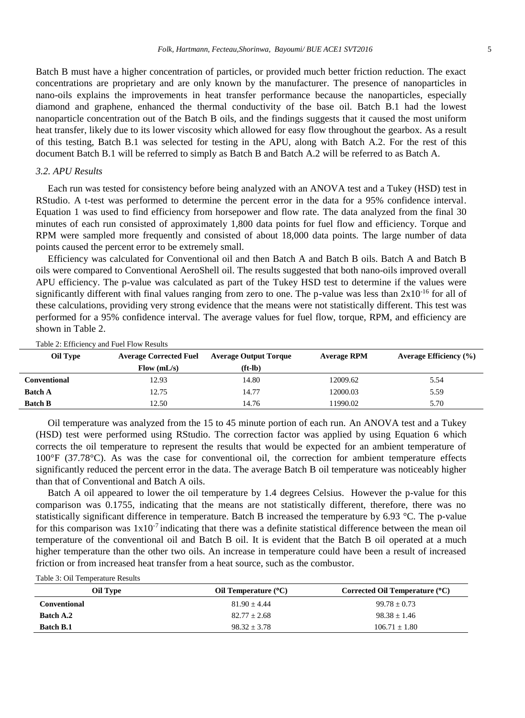Batch B must have a higher concentration of particles, or provided much better friction reduction. The exact concentrations are proprietary and are only known by the manufacturer. The presence of nanoparticles in nano-oils explains the improvements in heat transfer performance because the nanoparticles, especially diamond and graphene, enhanced the thermal conductivity of the base oil. Batch B.1 had the lowest nanoparticle concentration out of the Batch B oils, and the findings suggests that it caused the most uniform heat transfer, likely due to its lower viscosity which allowed for easy flow throughout the gearbox. As a result of this testing, Batch B.1 was selected for testing in the APU, along with Batch A.2. For the rest of this document Batch B.1 will be referred to simply as Batch B and Batch A.2 will be referred to as Batch A.

# *3.2. APU Results*

Each run was tested for consistency before being analyzed with an ANOVA test and a Tukey (HSD) test in RStudio. A t-test was performed to determine the percent error in the data for a 95% confidence interval. Equation 1 was used to find efficiency from horsepower and flow rate. The data analyzed from the final 30 minutes of each run consisted of approximately 1,800 data points for fuel flow and efficiency. Torque and RPM were sampled more frequently and consisted of about 18,000 data points. The large number of data points caused the percent error to be extremely small.

Efficiency was calculated for Conventional oil and then Batch A and Batch B oils. Batch A and Batch B oils were compared to Conventional AeroShell oil. The results suggested that both nano-oils improved overall APU efficiency. The p-value was calculated as part of the Tukey HSD test to determine if the values were significantly different with final values ranging from zero to one. The p-value was less than  $2x10^{-16}$  for all of these calculations, providing very strong evidence that the means were not statistically different. This test was performed for a 95% confidence interval. The average values for fuel flow, torque, RPM, and efficiency are shown in Table 2.

| <b>Oil Type</b> | <b>Average Corrected Fuel</b> | <b>Average Output Torque</b> | <b>Average RPM</b> | <b>Average Efficiency</b> (%) |
|-----------------|-------------------------------|------------------------------|--------------------|-------------------------------|
|                 | Flow (mL/s)                   | $(ft-lb)$                    |                    |                               |
| Conventional    | 12.93                         | 14.80                        | 12009.62           | 5.54                          |
| <b>Batch A</b>  | 12.75                         | 14.77                        | 12000.03           | 5.59                          |
| <b>Batch B</b>  | 12.50                         | 14.76                        | 11990.02           | 5.70                          |

Table 2: Efficiency and Fuel Flow Results

Oil temperature was analyzed from the 15 to 45 minute portion of each run. An ANOVA test and a Tukey (HSD) test were performed using RStudio. The correction factor was applied by using Equation 6 which corrects the oil temperature to represent the results that would be expected for an ambient temperature of 100°F (37.78°C). As was the case for conventional oil, the correction for ambient temperature effects significantly reduced the percent error in the data. The average Batch B oil temperature was noticeably higher than that of Conventional and Batch A oils.

Batch A oil appeared to lower the oil temperature by 1.4 degrees Celsius. However the p-value for this comparison was 0.1755, indicating that the means are not statistically different, therefore, there was no statistically significant difference in temperature. Batch B increased the temperature by 6.93 °C. The p-value for this comparison was  $1x10^{-7}$  indicating that there was a definite statistical difference between the mean oil temperature of the conventional oil and Batch B oil. It is evident that the Batch B oil operated at a much higher temperature than the other two oils. An increase in temperature could have been a result of increased friction or from increased heat transfer from a heat source, such as the combustor.

|  | Table 3: Oil Temperature Results |  |
|--|----------------------------------|--|
|--|----------------------------------|--|

| Oil Type         | Oil Temperature $(C)$ | Corrected Oil Temperature $(C)$ |
|------------------|-----------------------|---------------------------------|
| Conventional     | $81.90 + 4.44$        | $99.78 + 0.73$                  |
| <b>Batch A.2</b> | $82.77 + 2.68$        | $98.38 + 1.46$                  |
| <b>Batch B.1</b> | $98.32 + 3.78$        | $106.71 + 1.80$                 |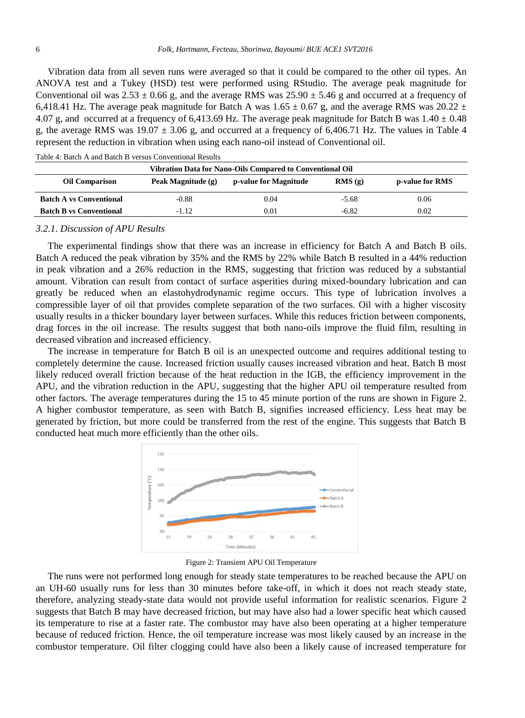Vibration data from all seven runs were averaged so that it could be compared to the other oil types. An ANOVA test and a Tukey (HSD) test were performed using RStudio. The average peak magnitude for Conventional oil was  $2.53 \pm 0.66$  g, and the average RMS was  $25.90 \pm 5.46$  g and occurred at a frequency of 6,418.41 Hz. The average peak magnitude for Batch A was  $1.65 \pm 0.67$  g, and the average RMS was 20.22  $\pm$ 4.07 g, and occurred at a frequency of 6,413.69 Hz. The average peak magnitude for Batch B was  $1.40 \pm 0.48$ g, the average RMS was  $19.07 \pm 3.06$  g, and occurred at a frequency of 6,406.71 Hz. The values in Table 4 represent the reduction in vibration when using each nano-oil instead of Conventional oil.

| Vibration Data for Nano-Oils Compared to Conventional Oil |                    |                       |         |                        |
|-----------------------------------------------------------|--------------------|-----------------------|---------|------------------------|
| <b>Oil Comparison</b>                                     | Peak Magnitude (g) | p-value for Magnitude | RMS(g)  | <b>p-value for RMS</b> |
| <b>Batch A vs Conventional</b>                            | -0.88              | 0.04                  | $-5.68$ | 0.06                   |
| <b>Batch B vs Conventional</b>                            | -1.12              | 0.01                  | $-6.82$ | 0.02                   |

Table 4: Batch A and Batch B versus Conventional Results

#### *3.2.1. Discussion of APU Results*

The experimental findings show that there was an increase in efficiency for Batch A and Batch B oils. Batch A reduced the peak vibration by 35% and the RMS by 22% while Batch B resulted in a 44% reduction in peak vibration and a 26% reduction in the RMS, suggesting that friction was reduced by a substantial amount. Vibration can result from contact of surface asperities during mixed-boundary lubrication and can greatly be reduced when an elastohydrodynamic regime occurs. This type of lubrication involves a compressible layer of oil that provides complete separation of the two surfaces. Oil with a higher viscosity usually results in a thicker boundary layer between surfaces. While this reduces friction between components, drag forces in the oil increase. The results suggest that both nano-oils improve the fluid film, resulting in decreased vibration and increased efficiency.

The increase in temperature for Batch B oil is an unexpected outcome and requires additional testing to completely determine the cause. Increased friction usually causes increased vibration and heat. Batch B most likely reduced overall friction because of the heat reduction in the IGB, the efficiency improvement in the APU, and the vibration reduction in the APU, suggesting that the higher APU oil temperature resulted from other factors. The average temperatures during the 15 to 45 minute portion of the runs are shown in Figure 2. A higher combustor temperature, as seen with Batch B, signifies increased efficiency. Less heat may be generated by friction, but more could be transferred from the rest of the engine. This suggests that Batch B conducted heat much more efficiently than the other oils.



Figure 2: Transient APU Oil Temperature

The runs were not performed long enough for steady state temperatures to be reached because the APU on an UH-60 usually runs for less than 30 minutes before take-off, in which it does not reach steady state, therefore, analyzing steady-state data would not provide useful information for realistic scenarios. Figure 2 suggests that Batch B may have decreased friction, but may have also had a lower specific heat which caused its temperature to rise at a faster rate. The combustor may have also been operating at a higher temperature because of reduced friction. Hence, the oil temperature increase was most likely caused by an increase in the combustor temperature. Oil filter clogging could have also been a likely cause of increased temperature for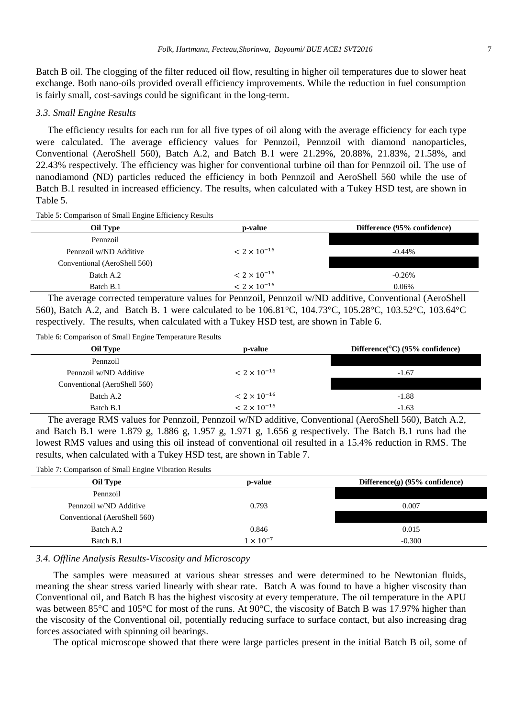Batch B oil. The clogging of the filter reduced oil flow, resulting in higher oil temperatures due to slower heat exchange. Both nano-oils provided overall efficiency improvements. While the reduction in fuel consumption is fairly small, cost-savings could be significant in the long-term.

# *3.3. Small Engine Results*

The efficiency results for each run for all five types of oil along with the average efficiency for each type were calculated. The average efficiency values for Pennzoil, Pennzoil with diamond nanoparticles, Conventional (AeroShell 560), Batch A.2, and Batch B.1 were 21.29%, 20.88%, 21.83%, 21.58%, and 22.43% respectively. The efficiency was higher for conventional turbine oil than for Pennzoil oil. The use of nanodiamond (ND) particles reduced the efficiency in both Pennzoil and AeroShell 560 while the use of Batch B.1 resulted in increased efficiency. The results, when calculated with a Tukey HSD test, are shown in Table 5.

Table 5: Comparison of Small Engine Efficiency Results

| Oil Type                     | p-value               | Difference (95% confidence) |
|------------------------------|-----------------------|-----------------------------|
| Pennzoil                     |                       |                             |
| Pennzoil w/ND Additive       | $< 2 \times 10^{-16}$ | $-0.44\%$                   |
| Conventional (AeroShell 560) |                       |                             |
| Batch A.2                    | $< 2 \times 10^{-16}$ | $-0.26%$                    |
| Batch B.1                    | $< 2 \times 10^{-16}$ | 0.06%                       |

The average corrected temperature values for Pennzoil, Pennzoil w/ND additive, Conventional (AeroShell 560), Batch A.2, and Batch B. 1 were calculated to be 106.81°C, 104.73°C, 105.28°C, 103.52°C, 103.64°C respectively. The results, when calculated with a Tukey HSD test, are shown in Table 6.

Table 6: Comparison of Small Engine Temperature Results

| Oil Type                     | p-value               | Difference $\rm^{\circ}$ C) (95% confidence) |
|------------------------------|-----------------------|----------------------------------------------|
| Pennzoil                     |                       |                                              |
| Pennzoil w/ND Additive       | $< 2 \times 10^{-16}$ | $-1.67$                                      |
| Conventional (AeroShell 560) |                       |                                              |
| Batch A.2                    | $< 2 \times 10^{-16}$ | $-1.88$                                      |
| Batch B.1                    | $< 2 \times 10^{-16}$ | $-1.63$                                      |

The average RMS values for Pennzoil, Pennzoil w/ND additive, Conventional (AeroShell 560), Batch A.2, and Batch B.1 were 1.879 g*,* 1.886 g*,* 1.957 g*,* 1.971 g*,* 1.656 g respectively*.* The Batch B.1 runs had the lowest RMS values and using this oil instead of conventional oil resulted in a 15.4% reduction in RMS. The results, when calculated with a Tukey HSD test, are shown in Table 7.

Table 7: Comparison of Small Engine Vibration Results

| Oil Type                     | p-value            | Difference $(g)$ (95% confidence) |
|------------------------------|--------------------|-----------------------------------|
| Pennzoil                     |                    |                                   |
| Pennzoil w/ND Additive       | 0.793              | 0.007                             |
| Conventional (AeroShell 560) |                    |                                   |
| Batch A.2                    | 0.846              | 0.015                             |
| Batch B.1                    | $1 \times 10^{-7}$ | $-0.300$                          |

*3.4. Offline Analysis Results*-*Viscosity and Microscopy*

The samples were measured at various shear stresses and were determined to be Newtonian fluids, meaning the shear stress varied linearly with shear rate. Batch A was found to have a higher viscosity than Conventional oil, and Batch B has the highest viscosity at every temperature. The oil temperature in the APU was between 85°C and 105°C for most of the runs. At 90°C, the viscosity of Batch B was 17.97% higher than the viscosity of the Conventional oil, potentially reducing surface to surface contact, but also increasing drag forces associated with spinning oil bearings.

The optical microscope showed that there were large particles present in the initial Batch B oil, some of